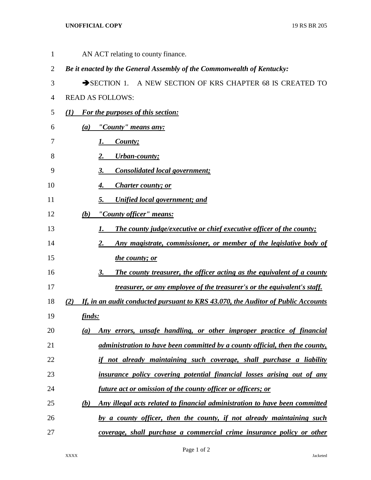## **UNOFFICIAL COPY** 19 RS BR 205

| 1  | AN ACT relating to county finance.                                                      |
|----|-----------------------------------------------------------------------------------------|
| 2  | Be it enacted by the General Assembly of the Commonwealth of Kentucky:                  |
| 3  | SECTION 1. A NEW SECTION OF KRS CHAPTER 68 IS CREATED TO                                |
| 4  | <b>READ AS FOLLOWS:</b>                                                                 |
| 5  | For the purposes of this section:<br>(I)                                                |
| 6  | "County" means any:<br>(a)                                                              |
| 7  | County;<br>1.                                                                           |
| 8  | <b>Urban-county;</b><br>2.                                                              |
| 9  | <b>Consolidated local government;</b><br>3.                                             |
| 10 | Charter county; or<br>4.                                                                |
| 11 | <b>Unified local government; and</b><br>5.                                              |
| 12 | "County officer" means:<br>(b)                                                          |
| 13 | The county judge/executive or chief executive officer of the county;<br>1.              |
| 14 | Any magistrate, commissioner, or member of the legislative body of<br>2.                |
| 15 | the county; or                                                                          |
| 16 | The county treasurer, the officer acting as the equivalent of a county<br>3.            |
| 17 | treasurer, or any employee of the treasurer's or the equivalent's staff.                |
| 18 | If, in an audit conducted pursuant to KRS 43.070, the Auditor of Public Accounts<br>(2) |
| 19 | finds:                                                                                  |
| 20 | Any errors, unsafe handling, or other improper practice of financial<br>(a)             |
| 21 | administration to have been committed by a county official, then the county,            |
| 22 | if not already maintaining such coverage, shall purchase a liability                    |
| 23 | insurance policy covering potential financial losses arising out of any                 |
| 24 | future act or omission of the county officer or officers; or                            |
| 25 | Any illegal acts related to financial administration to have been committed<br>(b)      |
| 26 | by a county officer, then the county, if not already maintaining such                   |
| 27 | coverage, shall purchase a commercial crime insurance policy or other                   |